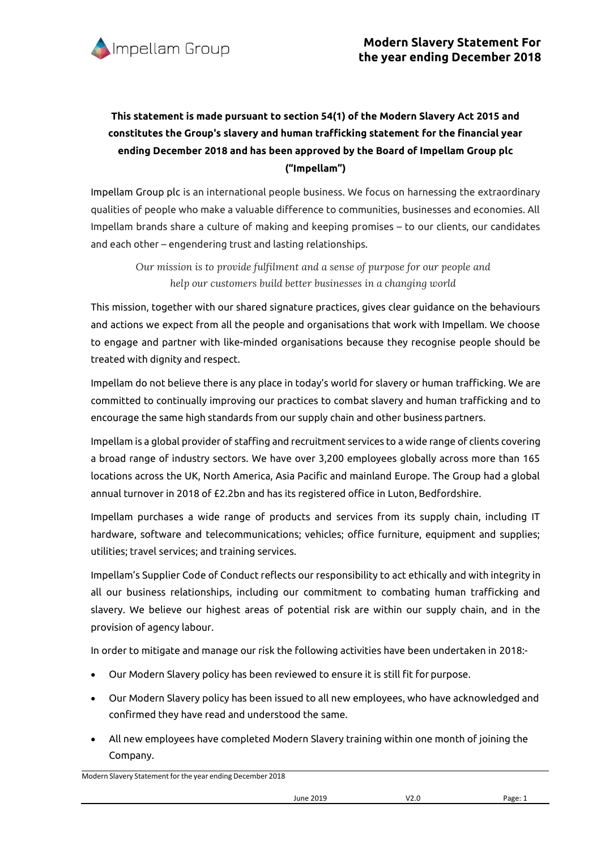

## **This statement is made pursuant to section 54(1) of the Modern Slavery Act 2015 and constitutes the Group's slavery and human trafficking statement for the financial year ending December 2018 and has been approved by the Board of Impellam Group plc ("Impellam")**

Impellam Group plc is an international people business. We focus on harnessing the extraordinary qualities of people who make a valuable difference to communities, businesses and economies. All Impellam brands share a culture of making and keeping promises – to our clients, our candidates and each other – engendering trust and lasting relationships.

*Our mission is to provide fulfilment and a sense of purpose for our people and help our customers build better businesses in a changing world*

This mission, together with our shared signature practices, gives clear guidance on the behaviours and actions we expect from all the people and organisations that work with Impellam. We choose to engage and partner with like-minded organisations because they recognise people should be treated with dignity and respect.

Impellam do not believe there is any place in today's world for slavery or human trafficking. We are committed to continually improving our practices to combat slavery and human trafficking and to encourage the same high standards from our supply chain and other business partners.

Impellam is a global provider of staffing and recruitment services to a wide range of clients covering a broad range of industry sectors. We have over 3,200 employees globally across more than 165 locations across the UK, North America, Asia Pacific and mainland Europe. The Group had a global annual turnover in 2018 of £2.2bn and has its registered office in Luton, Bedfordshire.

Impellam purchases a wide range of products and services from its supply chain, including IT hardware, software and telecommunications; vehicles; office furniture, equipment and supplies; utilities; travel services; and training services.

Impellam's Supplier Code of Conduct reflects our responsibility to act ethically and with integrity in all our business relationships, including our commitment to combating human trafficking and slavery. We believe our highest areas of potential risk are within our supply chain, and in the provision of agency labour.

In order to mitigate and manage our risk the following activities have been undertaken in 2018:-

- Our Modern Slavery policy has been reviewed to ensure it is still fit for purpose.
- Our Modern Slavery policy has been issued to all new employees, who have acknowledged and confirmed they have read and understood the same.
- All new employees have completed Modern Slavery training within one month of joining the Company.

Modern Slavery Statement for the year ending December 2018